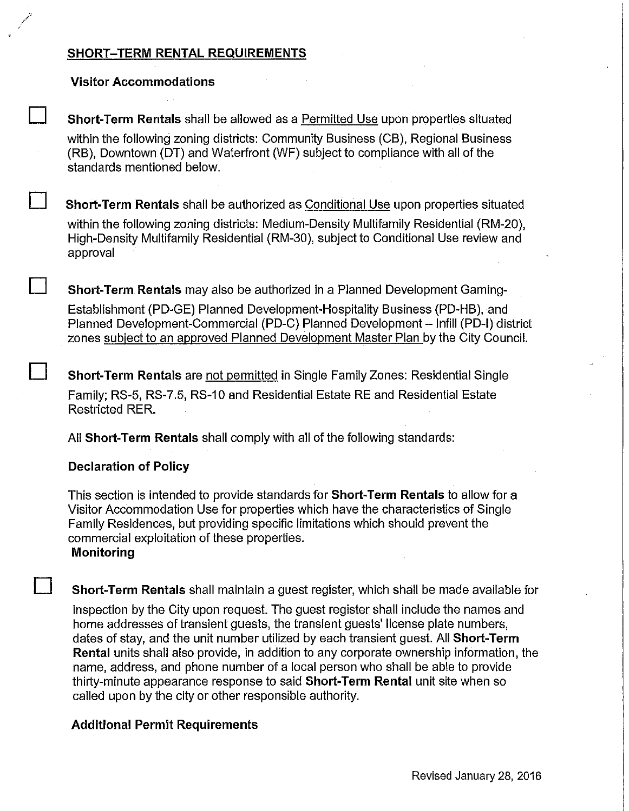# **SHORT-TERM RENTAL REQUIREMENTS**

## **Visitor Accommodations**

**Short-Term Rentals** shall be allowed as a Permitted Use upon properties situated within the following zoning districts: Community Business (CB), Regional Business (RB), Downtown (DT) and Waterfront (WF) subject to compliance with all of the standards mentioned below.

**D Short-Term Rentals** shall be authorized as Conditional Use upon properties situated within the following zoning districts: Medium-Density Multifamily Residential (RM-20), High-Density Multifamily Residential (RM-30), subject to Conditional Use review and approval

**Short-Term Rentals** may also be authorized in a Planned Development Gaming-Establishment (PD-GE) Planned Development-Hospitality Business (PD-HB), and Planned Development-Commercial (PD-C) Planned Development- lnfill **(PD-1)** district zones subject to an approved Planned Development Master Plan by the City Council.

**Short-Term Rentals** are not permitted in Single Family Zones: Residential Single Family; RS-5, RS-7.5, RS-10 and Residential Estate RE and Residential Estate Restricted RER.

All **Short-Term Rentals** shall comply with all of the following standards:

## **Declaration of Policy**

This section is intended to provide standards for **Short-Term Rentals** to allow for a Visitor Accommodation Use for properties which have the characteristics of Single Family Residences, but providing specific limitations which should prevent the commercial exploitation of these properties. **Monitoring** 

**Short-Term Rentals** shall maintain a guest register, which shall be made available for inspection by the City upon request. The guest register shall include the names and home addresses of transient guests, the transient guests' license plate numbers, dates of stay, and the unit number utilized by each transient guest. All **Short-Term Rental** units shall also provide, in addition to any corporate ownership information, the name, address, and phone number of a local person who shall be able to provide thirty-minute appearance response to said **Short-Term Rental** unit site when so called upon by the city or other responsible authority.

## **Additional Permit Requirements**